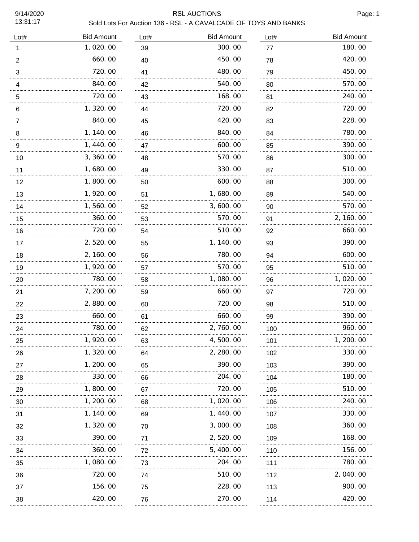# RSL AUCTIONS Page: 1

| Lot#           | <b>Bid Amount</b> | Lot#    | <b>Bid Amount</b> | Lot#     | <b>Bid Amount</b> |
|----------------|-------------------|---------|-------------------|----------|-------------------|
| 1              | 1,020.00          | 39      | 300.00            | 77       | 180.00            |
| $\overline{2}$ | 660.00            | 40      | 450.00            | 78       | 420.00            |
| 3              | 720.00            | 41      | 480.00            | 79       | 450.00            |
| 4              | 840.00            | 42      | 540.00            | 80       | 570.00            |
| 5              | 720.00            | 43      | 168.00            | 81       | 240.00<br>.       |
| 6              | 1,320.00          | 44      | 720.00            | 82       | 720.00            |
| 7              | 840.00            | 45      | 420.00            | 83       | 228.00            |
| 8              | 1, 140.00         | 46      | 840.00            | 84       | 780.00            |
| 9              | 1, 440.00         | 47      | 600.00            | 85       | 390.00            |
| 10             | 3, 360. 00        | 48      | 570.00            | 86       | 300.00            |
| 11             | 1,680.00          | 49      | 330.00            | 87       | 510.00            |
| 12             | 1,800.00          | 50      | 600.00            | 88       | 300.00            |
| 13             | 1, 920.00         | 51      | 1,680.00          | 89       | 540.00            |
| 14             | 1,560.00<br>      | 52      | 3,600.00          | 90       | 570.00            |
| 15             | 360.00            | 53      | 570.00            | 91       | 2, 160.00         |
| 16             | 720.00            | 54      | 510.00            | 92       | 660.00            |
| 17             | 2,520.00          | 55      | 1, 140.00         | 93       | 390.00            |
| 18             | 2, 160. 00<br>.   | 56      | 780.00<br>.       | 94       | 600.00            |
| 19             | 1,920.00          | 57      | 570.00            | 95       | 510.00            |
| 20             | 780.00            | 58      | 1,080.00          | 96       | 1,020.00          |
| 21             | 7, 200.00         | 59      | 660.00            | 97       | 720.00            |
| 22             | 2,880.00          | 60      | 720.00            | 98       | 510.00            |
| 23             | 660.00            | 61      | 660.00            | 99       | 390.00            |
| 24             | 780.00            | 62      | 2,760.00          | 100      | 960.00            |
| 25             | 1, 920.00         | 63      | 4, 500. 00        | 101      | 1, 200. 00        |
| 26             | 1, 320.00         | 64      | 2, 280.00         | 102      | 330.00            |
| 27             | 1, 200. 00        | 65      | 390.00            | 103      | 390.00            |
| 28             | 330.00            | 66      | 204.00            | 104      | 180.00            |
| 29             | 1, 800. 00        | 67      | 720.00            | 105      | 510.00            |
| 30             | 1, 200. 00        | 68      | 1,020.00          | 106      | 240.00            |
| 31             | 1, 140. 00        | 69      | 1, 440.00         | 107      | 330.00            |
| 32             | 1, 320.00         | 70      | 3,000.00          | 108      | 360.00            |
| 33             | 390.00            | 71      | 2,520.00          | 109      | 168.00            |
| 34             | 360.00            | 72      | 5, 400.00         | 110      | 156.00            |
| 35             | 1,080.00          | 73      | 204.00            | 111      | 780.00            |
| 36             | 720.00            | 74      | 510.00            | 112      | 2, 040.00         |
| 37             | 156.00            | 75<br>. | 228.00            | 113<br>. | 900.00            |
| 38             | 420.00            | 76      | 270.00            | 114      | 420.00            |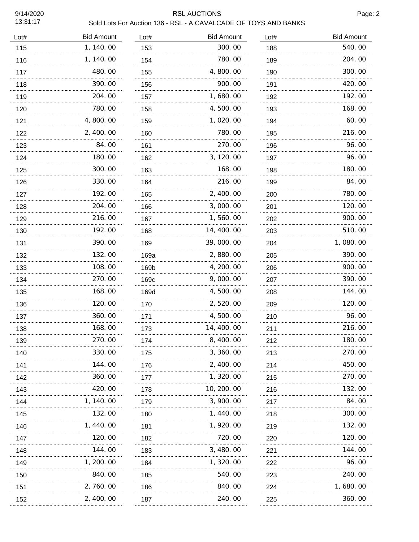# RSL AUCTIONS Page: 2

| Lot# | <b>Bid Amount</b> | Lot# | <b>Bid Amount</b> | Lot# | <b>Bid Amount</b> |
|------|-------------------|------|-------------------|------|-------------------|
| 115  | 1, 140.00         | 153  | 300.00            | 188  | 540.00            |
| 116  | 1, 140.00         | 154  | 780.00            | 189  | 204.00            |
| 117  | 480.00            | 155  | 4,800.00          | 190  | 300.00            |
| 118  | 390.00            | 156  | 900.00            | 191  | 420.00            |
| 119  | 204.00            | 157  | 1,680.00          | 192  | 192.00            |
| 120  | 780.00            | 158  | 4,500.00          | 193  | 168.00            |
| 121  | 4,800.00          | 159  | 1,020.00          | 194  | 60.00             |
| 122  | 2, 400.00         | 160  | 780.00            | 195  | 216.00            |
| 123  | 84.00             | 161  | 270.00            | 196  | 96.00             |
| 124  | 180.00            | 162  | 3, 120.00         | 197  | 96.00             |
| 125  | 300.00            | 163  | 168.00            | 198  | 180.00            |
| 126  | 330.00            | 164  | 216.00            | 199  | 84.00             |
| 127  | 192.00            | 165  | 2, 400.00         | 200  | 780.00            |
| 128  | 204.00            | 166  | 3,000.00          | 201  | 120.00            |
| 129  | 216.00            | 167  | 1,560.00          | 202  | 900.00            |
| 130  | 192.00            | 168  | 14, 400.00        | 203  | 510.00            |
| 131  | 390.00            | 169  | 39,000.00         | 204  | 1,080.00          |
| 132  | 132.00            | 169a | 2,880.00          | 205  | 390.00            |
| 133  | 108.00            | 169b | 4, 200. 00        | 206  | 900.00            |
| 134  | 270.00            | 169c | 9,000.00          | 207  | 390.00            |
| 135  | 168.00            | 169d | 4,500.00          | 208  | 144.00            |
| 136  | 120.00            | 170  | 2,520.00          | 209  | 120.00            |
| 137  | 360.00            | 171  | 4,500.00          | 210  | 96.00             |
| 138  | 168.00            | 173  | 14, 400.00        | 211  | 216.00            |
| 139  | 270.00            | 174  | 8, 400. 00        | 212  | 180.00            |
| 140  | 330. 00           | 175  | 3, 360. 00        | 213  | 270.00            |
| 141  | 144. OO           | 176  | 2, 400. 00        | 214  | 450.00            |
| 142  | 360.00            | 177  | 1, 320. 00        | 215  | 270.00            |
| 143  | 420.00            | 178  | 10, 200. 00       | 216  | 132.00            |
| 144  | 1, 140. 00        | 179  | 3, 900. 00        | 217  | 84.00             |
| 145  | 132.00            | 180  | 1, 440. 00        | 218  | 300. 00           |
| 146  | 1, 440. 00        | 181  | 1, 920. 00        | 219  | 132.00            |
| 147  | 120.00            | 182  | 720.00            | 220  | 120. 00           |
| 148  | 144.00            | 183  | 3, 480. 00        | 221  | 144. 00           |
| 149  | 1, 200. 00        | 184  | 1, 320. 00        | 222  | 96. 00            |
| 150  | 840.00            | 185  | 540.00            | 223  | 240.00            |
| 151  | 2, 760.00         | 186  | 840.00            | 224  | 1,680.00          |
| 152  | 2, 400.00         | 187  | 240.00            | 225  | 360.00            |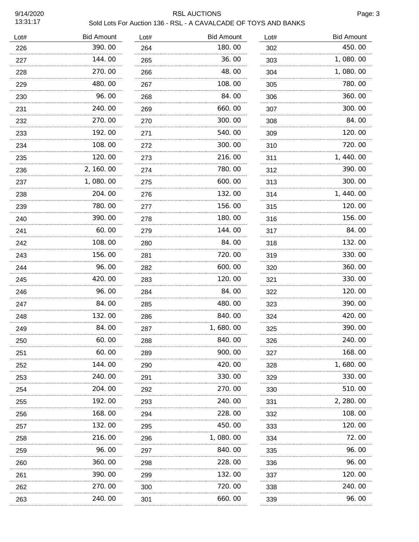# RSL AUCTIONS Page: 3

| Sold Lots For Auction 136 - RSL - A CAVALCADE OF TOYS AND BANKS |
|-----------------------------------------------------------------|
|-----------------------------------------------------------------|

| Lot# | <b>Bid Amount</b> | Lot# | <b>Bid Amount</b> | Lot# | <b>Bid Amount</b> |
|------|-------------------|------|-------------------|------|-------------------|
| 226  | 390.00            | 264  | 180.00            | 302  | 450.00            |
| 227  | 144.00            | 265  | 36.00             | 303  | 1,080.00          |
| 228  | 270.00            | 266  | 48.00             | 304  | 1,080.00          |
| 229  | 480.00            | 267  | 108.00            | 305  | 780.00            |
| 230  | 96.00<br>.        | 268  | 84.00             | 306  | 360.00            |
| 231  | 240.00            | 269  | 660.00            | 307  | 300.00            |
| 232  | 270.00<br>.       | 270  | 300.00            | 308  | 84.00             |
| 233  | 192.00            | 271  | 540.00            | 309  | 120.00            |
| 234  | 108.00            | 272  | 300.00            | 310  | 720.00            |
| 235  | 120.00            | 273  | 216.00            | 311  | 1,440.00          |
| 236  | 2, 160.00         | 274  | 780.00            | 312  | 390.00            |
| 237  | 1,080.00          | 275  | 600.00            | 313  | 300.00            |
| 238  | 204.00            | 276  | 132.00            | 314  | 1,440.00          |
| 239  | 780.00            | 277  | 156.00            | 315  | 120.00            |
| 240  | 390.00            | 278  | 180.00            | 316  | 156.00            |
| 241  | 60.00             | 279  | 144.00            | 317  | 84.00             |
| 242  | 108.00            | 280  | 84.00             | 318  | 132.00            |
| 243  | 156.00            | 281  | 720.00            | 319  | 330.00            |
| 244  | 96.00             | 282  | 600.00            | 320  | 360.00            |
| 245  | 420.00            | 283  | 120.00            | 321  | 330.00            |
| 246  | 96.00             | 284  | 84.00             | 322  | 120.00            |
| 247  | 84.00             | 285  | 480.00            | 323  | 390.00            |
| 248  | 132.00            | 286  | 840.00            | 324  | 420.00            |
| 249  | 84.00             | 287  | 1,680.00          | 325  | 390.00            |
| 250  | 60.00             | 288  | 840.00            | 326  | 240.00            |
| 251  | 60.00             | 289  | 900.00            | 327  | 168.00            |
| 252  | 144. 00           | 290  | 420.00            | 328  | 1, 680. 00        |
| 253  | 240.00            | 291  | 330.00            | 329  | 330.00            |
| 254  | 204.00            | 292  | 270.00            | 330  | 510.00            |
| 255  | 192.00            | 293  | 240. 00           | 331  | 2, 280.00         |
| 256  | 168.00            | 294  | 228.00            | 332  | 108. 00           |
| 257  | 132.00            | 295  | 450.00            | 333  | 120.00            |
| 258  | 216.00            | 296  | 1, 080. 00        | 334  | 72. 00            |
| 259  | .<br>96.00        | 297  | 840.00            | 335  | 96.00             |
| 260  | 360.00            | 298  | 228.00            | 336  | 96. 00            |
| 261  | 390.00            | 299  | 132.00            | 337  | 120.00            |
| 262  | <br>270.00        | 300  | 720.00            | 338  | 240.00            |
| 263  | .<br>240.00       | 301  | 660.00            | 339  | 96.00             |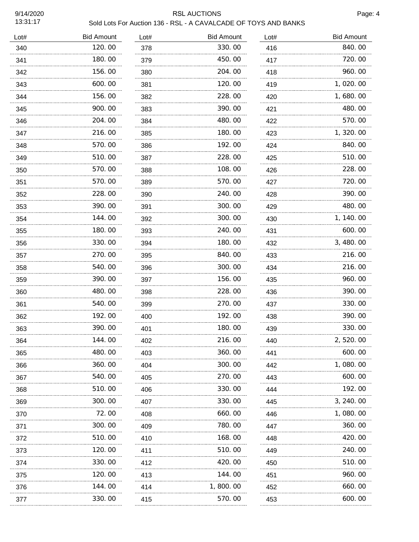# RSL AUCTIONS Page: 4

| Lot# | <b>Bid Amount</b> | Lot# | <b>Bid Amount</b> | Lot# | <b>Bid Amount</b> |
|------|-------------------|------|-------------------|------|-------------------|
| 340  | 120.00            | 378  | 330.00            | 416  | 840.00            |
| 341  | 180.00            | 379  | 450.00            | 417  | 720.00            |
| 342  | 156.00            | 380  | 204.00            | 418  | 960.00            |
| 343  | 600.00            | 381  | 120.00            | 419  | 1,020.00          |
| 344  | 156.00            | 382  | 228.00            | 420  | 1,680.00          |
| 345  | 900.00            | 383  | 390.00            | 421  | 480.00            |
| 346  | 204.00            | 384  | 480.00            | 422  | 570.00            |
| 347  | 216.00            | 385  | 180.00            | 423  | 1, 320.00         |
| 348  | 570.00            | 386  | 192.00            | 424  | 840.00            |
| 349  | 510.00            | 387  | 228.00            | 425  | 510.00            |
| 350  | 570.00            | 388  | 108.00            | 426  | 228.00            |
| 351  | 570.00            | 389  | 570.00            | 427  | 720.00            |
| 352  | 228.00            | 390  | 240.00            | 428  | 390.00            |
| 353  | 390.00            | 391  | 300.00            | 429  | 480.00            |
| 354  | 144.00            | 392  | 300.00            | 430  | 1, 140.00         |
| 355  | 180.00            | 393  | 240.00            | 431  | 600.00            |
| 356  | 330.00            | 394  | 180.00            | 432  | 3, 480.00         |
| 357  | 270.00            | 395  | 840.00            | 433  | 216.00            |
| 358  | 540.00            | 396  | 300.00            | 434  | 216.00            |
| 359  | 390.00            | 397  | 156.00            | 435  | 960.00            |
| 360  | 480.00            | 398  | 228.00            | 436  | 390.00            |
| 361  | 540.00            | 399  | 270.00            | 437  | 330.00            |
| 362  | 192.00            | 400  | 192.00            | 438  | 390.00            |
| 363  | 390.00            | 401  | 180.00            | 439  | 330.00            |
| 364  | 144. OO           | 402  | 216.00            | 440  | 2, 520. 00        |
| 365  | 480.00            | 403  | 360.00            | 441  | 600.00            |
| 366  | 360.00            | 404  | 300.00            | 442  | 1,080.00          |
| 367  | 540.00            | 405  | 270.00            | 443  | 600.00            |
| 368  | 510.00            | 406  | 330.00            | 444  | 192.00            |
| 369  | 300.00            | 407  | 330.00            | 445  | 3, 240.00         |
| 370  | 72.00             | 408  | 660. 00           | 446  | 1,080.00          |
| 371  | 300.00            | 409  | 780.00            | 447  | 360.00            |
| 372  | 510.00            | 410  | 168.00            | 448  | 420, 00           |
| 373  | 120.00            | 411  | 510.00            | 449  | 240.00            |
| 374  | 330.00            | 412  | 420.00            | 450  | 510.00            |
| 375  | 120.00            | 413  | 144.00            | 451  | 960.00            |
| 376  | 144.00            | 414  | 1,800.00          | 452  | 660.00            |
| 377  | 330.00            | 415  | 570.00            | 453  | 600.00            |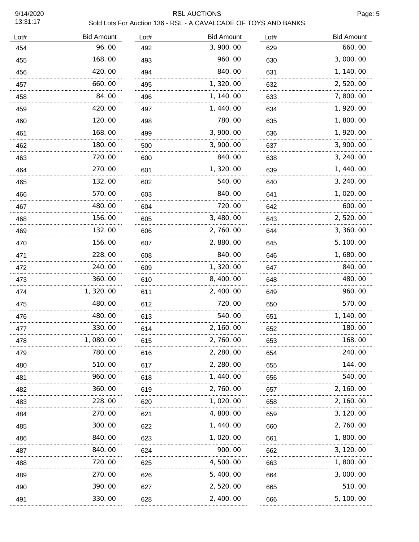## RSL AUCTIONS Page: 5

| Lot# | <b>Bid Amount</b> | Lot# | <b>Bid Amount</b> | Lot# | <b>Bid Amount</b> |
|------|-------------------|------|-------------------|------|-------------------|
| 454  | 96.00             | 492  | 3, 900. 00        | 629  | 660.00            |
| 455  | 168.00            | 493  | 960.00            | 630  | 3,000.00          |
| 456  | 420.00            | 494  | 840.00            | 631  | 1, 140.00         |
| 457  | 660.00            | 495  | 1, 320.00         | 632  | 2, 520.00         |
| 458  | 84.00             | 496  | 1, 140.00         | 633  | 7,800.00          |
| 459  | 420.00            | 497  | 1, 440.00         | 634  | 1, 920.00         |
| 460  | 120.00            | 498  | 780.00            | 635  | 1,800.00          |
| 461  | 168.00            | 499  | 3, 900. 00        | 636  | 1, 920.00         |
| 462  | 180.00            | 500  | 3,900.00          | 637  | 3, 900. 00        |
| 463  | 720.00            | 600  | 840.00            | 638  | 3, 240.00         |
| 464  | 270.00            | 601  | 1,320.00          | 639  | 1, 440.00         |
| 465  | 132.00            | 602  | 540.00            | 640  | 3, 240.00         |
| 466  | 570.00            | 603  | 840.00            | 641  | 1, 020. 00        |
| 467  | 480.00            | 604  | 720.00            | 642  | 600.00            |
| 468  | 156.00            | 605  | 3, 480.00         | 643  | 2, 520.00         |
| 469  | 132.00            | 606  | 2,760.00          | 644  | 3, 360. 00        |
| 470  | 156.00            | 607  | 2,880.00          | 645  | 5, 100. 00        |
| 471  | 228.00            | 608  | 840.00            | 646  | 1,680.00          |
| 472  | 240.00            | 609  | 1,320.00          | 647  | 840.00            |
| 473  | 360.00            | 610  | 8, 400.00         | 648  | 480.00            |
| 474  | 1, 320.00         | 611  | 2, 400.00         | 649  | 960.00            |
| 475  | 480.00            | 612  | 720.00            | 650  | 570.00            |
| 476  | 480.00            | 613  | 540.00            | 651  | 1, 140.00         |
| 477  | 330.00            | 614  | 2, 160.00         | 652  | 180.00            |
| 478  | 1,080.00          | 615  | 2,760.00          | 653  | 168.00            |
| 479  | 780.00            | 616  | 2, 280.00         | 654  | 240.00            |
| 480  | 510. 00           | 617  | 2, 280. 00        | 655  | 144.00            |
| 481  | 960. 00           | 618  | 1, 440. 00        | 656  | 540.00            |
| 482  | 360.00            | 619  | 2, 760. 00        | 657  | 2, 160. 00        |
| 483  | 228.00            | 620  | 1, 020. 00        | 658  | 2, 160. 00        |
| 484  | 270.00            | 621  | 4,800.00          | 659  | 3, 120.00         |
| 485  | 300.00            | 622  | 1, 440.00         | 660  | 2, 760.00         |
| 486  | 840.00            | 623  | 1,020.00          | 661  | 1, 800. 00        |
| 487  | 840.00            | 624  | 900.00            | 662  | 3, 120.00         |
| 488  | 720.00            | 625  | 4, 500. 00        | 663  | 1, 800. 00        |
| 489  | 270.00            | 626  | 5, 400. 00        | 664  | 3,000.00          |
| 490  | 390.00            | 627  | 2, 520.00         | 665  | 510.00            |
| 491  | 330.00            | 628  | 2, 400.00         | 666  | 5, 100. 00        |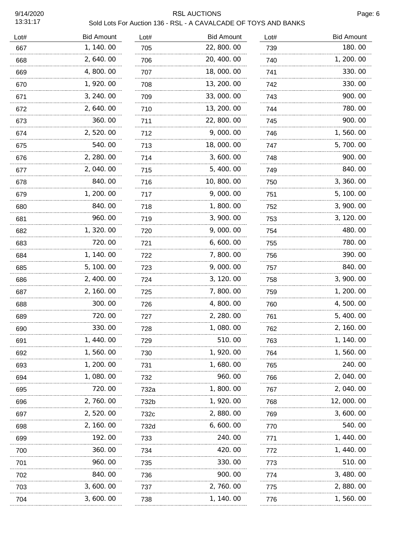#### RSL AUCTIONS **Page: 6** Sold Lots For Auction 136 - RSL - A CAVALCADE OF TOYS AND BANKS

| Sold Lots For Auction 136 - RSL - A CAVALCADE OF TOYS AND BANK |  |
|----------------------------------------------------------------|--|
|----------------------------------------------------------------|--|

| <b>Bid Amount</b> | Lot# | <b>Bid Amount</b> | Lot# | <b>Bid Amount</b> |
|-------------------|------|-------------------|------|-------------------|
| 1, 140.00         | 705  | 22, 800. 00       | 739  | 180.00            |
| 2,640.00          | 706  | 20, 400. 00       | 740  | 1, 200. 00        |
| 4,800.00          | 707  | 18,000.00         | 741  | 330.00            |
| 1, 920.00         | 708  | 13, 200. 00       | 742  | 330.00            |
| 3, 240.00         | 709  | 33,000.00         | 743  | 900.00            |
| 2,640.00          | 710  | 13, 200. 00       | 744  | 780.00            |
| 360.00            | 711  | 22, 800.00        | 745  | 900.00            |
| 2,520.00          | 712  | 9,000.00          | 746  | 1,560.00          |
| 540.00            | 713  | 18,000.00         | 747  | 5,700.00          |
| 2, 280.00         | 714  | 3,600.00          | 748  | 900.00            |
| 2,040.00          | 715  | 5,400.00          | 749  | 840.00            |
| 840.00            | 716  | 10, 800. 00       | 750  | 3, 360.00         |
| 1, 200.00         | 717  | 9,000.00          | 751  | 5, 100. 00        |
| 840.00            | 718  | 1,800.00          | 752  | 3, 900. 00        |
| 960.00            | 719  | 3,900.00          | 753  | 3, 120.00         |
| 1,320.00          | 720  | 9,000.00          | 754  | 480.00            |
| 720.00            | 721  | 6,600.00          | 755  | 780.00            |
| 1, 140.00         | 722  | 7,800.00          | 756  | 390.00            |
| 5, 100.00         | 723  | 9,000.00          | 757  | 840.00            |
| 2, 400.00         | 724  | 3, 120.00         | 758  | 3, 900. 00        |
| 2, 160. 00        | 725  | 7,800.00          | 759  | 1, 200. 00        |
| 300.00            | 726  | 4,800.00          | 760  | 4,500.00          |
| 720.00            | 727  | 2, 280.00         | 761  | 5, 400.00         |
| 330.00            | 728  | 1,080.00          | 762  | 2, 160. 00        |
| 440.00            | 729  | 510.00            | 763  | 1, 140. 00        |
| 1, 560. 00        | 730  | 1, 920.00         | 764  | 1, 560. 00        |
| 1, 200. 00        | 731  | 1, 680. 00        | 765  | 240.00            |
| 1,080.00          | 732  | 960.00            | 766  | 2, 040. 00        |
| 720.00            | 732a | 1, 800. 00        | 767  | 2, 040. 00        |
| 2, 760. 00        | 732b | 1, 920. 00        | 768  | 12, 000. 00       |
| 2,520.00          | 732c | 2,880.00          | 769  | 3, 600. 00        |
| 2, 160. 00        | 732d | 6, 600. 00        | 770  | 540.00            |
| 192.00            | 733  | 240.00            | 771  | 1, 440. 00        |
| 360.00            | 734  | 420.00            | 772  | 1, 440. 00        |
| 960.00            | 735  | 330.00            | 773  | 510.00            |
| 840.00            | 736  | 900.00            | 774  | 3, 480.00         |
| 3,600.00          | 737  | 2, 760.00         | 775  | 2,880.00          |
| 3, 600. 00        | 738  | 1, 140. 00        | 776  | 1, 560. 00        |
|                   |      | .<br>.            |      | .<br>.            |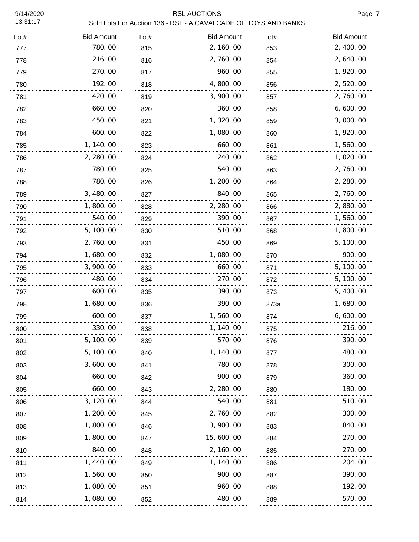# RSL AUCTIONS Page: 7

| Lot# | <b>Bid Amount</b> | Lot# | <b>Bid Amount</b> | Lot#     | <b>Bid Amount</b> |
|------|-------------------|------|-------------------|----------|-------------------|
| 777  | 780.00            | 815  | 2, 160.00         | 853      | 2, 400.00         |
| 778  | 216.00            | 816  | 2,760.00          | 854      | 2, 640.00         |
| 779  | 270.00            | 817  | 960.00            | 855      | 1, 920.00         |
| 780  | 192.00            | 818  | 4,800.00          | 856      | 2,520.00          |
| 781  | 420.00            | 819  | 3,900.00          | 857      | 2,760.00          |
| 782  | 660.00            | 820  | 360.00            | 858      | 6, 600. 00        |
| 783  | 450.00            | 821  | 1, 320.00         | 859      | 3,000.00          |
| 784  | 600.00            | 822  | 1,080.00          | 860      | 1, 920.00         |
| 785  | 1, 140.00         | 823  | 660.00            | 861<br>. | 1,560.00          |
| 786  | 2, 280.00         | 824  | 240.00            | 862      | 1,020.00          |
| 787  | 780.00            | 825  | 540.00            | 863      | 2,760.00          |
| 788  | 780.00            | 826  | 1,200.00          | 864      | 2, 280.00         |
| 789  | 3,480.00          | 827  | 840.00            | 865      | 2,760.00          |
| 790  | 1,800.00          | 828  | 2, 280.00         | 866      | 2,880.00          |
| 791  | 540.00            | 829  | 390.00            | 867      | 1,560.00          |
| 792  | 5, 100.00         | 830  | 510.00            | 868      | 1,800.00          |
| 793  | 2,760.00          | 831  | 450.00            | 869      | 5, 100.00         |
| 794  | 1,680.00          | 832  | 1,080.00          | 870      | 900.00            |
| 795  | 3,900.00          | 833  | 660.00            | 871      | 5, 100.00         |
| 796  | 480.00            | 834  | 270.00            | 872      | 5, 100.00         |
| 797  | 600.00            | 835  | 390.00            | 873      | 5, 400.00         |
| 798  | 1,680.00          | 836  | 390.00            | 873a     | 1,680.00          |
| 799  | 600.00            | 837  | 1,560.00          | 874      | 6,600.00          |
| 800  | 330.00            | 838  | 1, 140.00         | .<br>875 | 216.00            |
| 801  | 5, 100. 00        | 839  | 570.00            | 876      | 390.00            |
| 802  | 5, 100. 00        | 840  | 1, 140. 00        | 877      | 480.00            |
| 803  | 3, 600, 00        | 841  | 780.00            | 878      | 300.00            |
| 804  | 660.00            | 842  | 900.00            | 879      | 360.00            |
| 805  | 660.00            | 843  | 2, 280.00         | 880      | 180.00            |
| 806  | 3, 120. 00        | 844  | 540.00            | 881      | 510. 00           |
| 807  | 1, 200. 00        | 845  | 2, 760. 00        | 882      | 300. 00           |
| 808  | 1, 800. 00        | 846  | 3, 900. 00        | 883      | 840.00            |
| 809  | 1, 800. 00        | 847  | 15, 600. 00       | 884      | 270.00            |
| 810  | 840.00            | 848  | 2, 160. 00        | 885      | 270.00            |
| 811  | 1, 440. 00        | 849  | 1, 140. 00        | 886      | 204. 00           |
| 812  | 1, 560. 00        | 850  | 900.00            | 887      | 390.00            |
| 813  | 1, 080. 00        | 851  | 960. 00           | 888      | 192.00            |
| 814  | 1, 080. 00        | 852  | 480.00            | 889      | 570.00            |
|      |                   |      |                   |          |                   |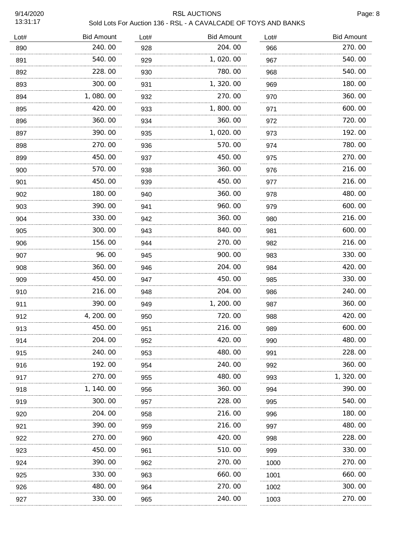# RSL AUCTIONS Page: 8

| Lot# | <b>Bid Amount</b> | Lot# | <b>Bid Amount</b> | Lot# | <b>Bid Amount</b> |
|------|-------------------|------|-------------------|------|-------------------|
| 890  | 240.00            | 928  | 204.00            | 966  | 270.00            |
| 891  | 540.00            | 929  | 1,020.00          | 967  | 540.00            |
| 892  | 228.00            | 930  | 780.00            | 968  | 540.00            |
| 893  | 300.00            | 931  | 1,320.00          | 969  | 180.00            |
| 894  | 1,080.00          | 932  | 270.00            | 970  | 360.00            |
| 895  | 420.00            | 933  | 1,800.00          | 971  | 600.00            |
| 896  | 360.00            | 934  | 360.00            | 972  | 720.00            |
| 897  | 390.00            | 935  | 1,020.00          | 973  | 192.00            |
| 898  | 270.00            | 936  | 570.00            | 974  | 780.00            |
| 899  | 450.00            | 937  | 450.00            | 975  | 270.00            |
| 900  | 570.00            | 938  | 360.00            | 976  | 216.00            |
| 901  | 450.00            | 939  | 450.00            | 977  | 216.00            |
| 902  | 180.00            | 940  | 360.00            | 978  | 480.00            |
| 903  | 390.00            | 941  | 960.00            | 979  | 600.00            |
| 904  | 330.00            | 942  | 360.00            | 980  | 216.00            |
| 905  | 300.00            | 943  | 840.00            | 981  | 600.00            |
| 906  | 156.00            | 944  | 270.00            | 982  | 216.00            |
| 907  | 96.00             | 945  | 900.00            | 983  | 330.00            |
| 908  | 360.00            | 946  | 204.00            | 984  | 420.00            |
| 909  | 450.00            | 947  | 450.00            | 985  | 330.00            |
| 910  | 216.00            | 948  | 204.00            | 986  | 240.00            |
| 911  | 390.00            | 949  | 1, 200.00         | 987  | 360.00            |
| 912  | 4, 200. 00        | 950  | 720.00            | 988  | 420.00            |
| 913  | 450.00            | 951  | 216.00            | 989  | 600.00            |
| 914  | 204. OO           | 952  | 420.00            | 990  | 480.00            |
| 915  | 240.00            | 953  | 480.00            | 991  | 228.00            |
| 916  | 192.00            | 954  | 240.00            | 992  | 360.00            |
| 917  | 270.00            | 955  | 480.00            | 993  | 1, 320.00         |
| 918  | 1, 140. 00<br>.   | 956  | 360.00            | 994  | 390.00            |
| 919  | 300.00            | 957  | 228.00            | 995  | 540.00            |
| 920  | 204.00<br>.       | 958  | 216.00            | 996  | 180. 00           |
| 921  | 390. 00           | 959  | 216.00            | 997  | 480.00            |
| 922  | 270.00            | 960  | 420.00            | 998  | 228.00            |
| 923  | 450.00            | 961  | 510.00            | 999  | 330.00            |
| 924  | 390.00            | 962  | 270.00            | 1000 | 270.00            |
| 925  | 330.00            | 963  | 660.00            | 1001 | 660.00            |
| 926  | 480.00            | 964  | 270.00            | 1002 | 300.00            |
| 927  | 330.00            | 965  | 240.00            | 1003 | 270.00            |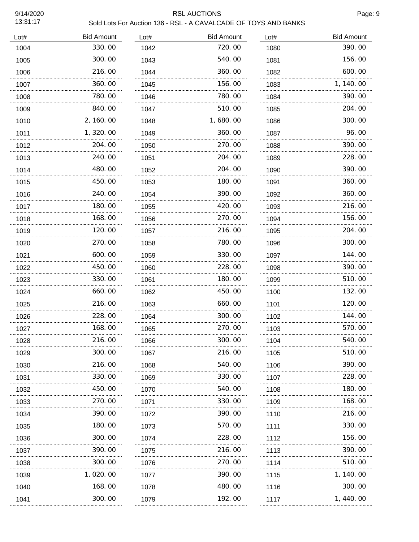## RSL AUCTIONS Page: 9

| Lot# | <b>Bid Amount</b> | Lot# | <b>Bid Amount</b> | Lot# | <b>Bid Amount</b> |
|------|-------------------|------|-------------------|------|-------------------|
| 1004 | 330.00            | 1042 | 720.00            | 1080 | 390.00            |
| 1005 | 300.00            | 1043 | 540.00            | 1081 | 156.00            |
| 1006 | 216.00            | 1044 | 360.00            | 1082 | 600.00            |
| 1007 | 360.00            | 1045 | 156.00            | 1083 | 1, 140.00         |
| 1008 | 780.00            | 1046 | 780.00            | 1084 | 390.00            |
| 1009 | 840.00            | 1047 | 510.00            | 1085 | 204.00            |
| 1010 | 2, 160.00         | 1048 | 1,680.00          | 1086 | 300.00            |
| 1011 | 1,320.00          | 1049 | 360.00            | 1087 | 96.00             |
| 1012 | 204. 00           | 1050 | 270.00            | 1088 | 390.00            |
| 1013 | 240.00            | 1051 | 204.00            | 1089 | 228.00            |
| 1014 | 480.00            | 1052 | 204.00            | 1090 | 390.00            |
| 1015 | 450.00            | 1053 | 180.00            | 1091 | 360.00            |
| 1016 | 240.00            | 1054 | 390.00            | 1092 | 360.00            |
| 1017 | 180.00            | 1055 | 420.00            | 1093 | 216.00            |
| 1018 | 168.00            | 1056 | 270.00            | 1094 | 156.00            |
| 1019 | 120.00            | 1057 | 216.00            | 1095 | 204.00            |
| 1020 | 270.00            | 1058 | 780.00            | 1096 | 300.00            |
| 1021 | 600.00            | 1059 | 330.00            | 1097 | 144.00            |
| 1022 | 450. 00           | 1060 | 228.00            | 1098 | 390. 00           |
| 1023 | 330.00            | 1061 | 180.00            | 1099 | 510.00            |
| 1024 | 660.00            | 1062 | 450.00            | 1100 | 132.00            |
| 1025 | 216.00            | 1063 | 660.00            | 1101 | 120.00            |
| 1026 | 228.00            | 1064 | 300.00            | 1102 | 144.00            |
| 1027 | 168.00            | 1065 | 270.00            | 1103 | 570.00            |
| 1028 | 216.00<br>.       | 1066 | 300.00            | 1104 | 540.00            |
| 1029 | 300. 00           | 1067 | 216.00            | 1105 | 510.00            |
| 1030 | 216. 00           | 1068 | 540. 00           | 1106 | 390. 00           |
| 1031 | 330. 00           | 1069 | 330.00            | 1107 | 228.00            |
| 1032 | 450. 00           | 1070 | 540.00            | 1108 | 180.00            |
| 1033 | 270.00            | 1071 | 330.00            | 1109 | 168.00            |
| 1034 | 390. 00           | 1072 | 390.00            | 1110 | 216. 00           |
| 1035 | 180.00            | 1073 | 570.00            | 1111 | 330.00            |
| 1036 | 300. 00           | 1074 | 228.00            | 1112 | 156.00            |
| 1037 | 390. 00           | 1075 | 216.00            | 1113 | 390. 00           |
| 1038 | 300. 00           | 1076 | 270.00            | 1114 | 510.00            |
| 1039 | 1, 020. 00        | 1077 | 390.00            | 1115 | 1, 140. 00        |
| 1040 | 168.00            | 1078 | 480.00            | 1116 | 300. 00           |
| 1041 | 300.00            | 1079 | 192.00            | 1117 | 1, 440.00         |